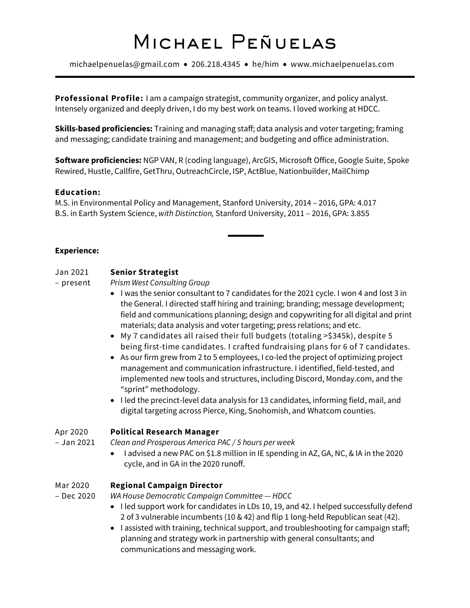# Michael Peñuelas

michaelpenuelas@gmail.com • 206.218.4345 • he/him • www.michaelpenuelas.com

**Professional Profile:** I am a campaign strategist, community organizer, and policy analyst. Intensely organized and deeply driven, I do my best work on teams. I loved working at HDCC.

**Skills-based proficiencies:** Training and managing staff; data analysis and voter targeting; framing and messaging; candidate training and management; and budgeting and office administration.

**Software proficiencies:** NGP VAN, R (coding language), ArcGIS, Microsoft Office, Google Suite, Spoke Rewired, Hustle, Callfire, GetThru, OutreachCircle, ISP, ActBlue, Nationbuilder, MailChimp

#### **Education:**

M.S. in Environmental Policy and Management, Stanford University, 2014 – 2016, GPA: 4.017 B.S. in Earth System Science, *with Distinction,* Stanford University, 2011 – 2016, GPA: 3.855

#### **Experience:**

## Jan 2021 **Senior Strategist**

– present *Prism West Consulting Group*

- I was the senior consultant to 7 candidates for the 2021 cycle. I won 4 and lost 3 in the General. I directed staff hiring and training; branding; message development; field and communications planning; design and copywriting for all digital and print materials; data analysis and voter targeting; press relations; and etc.
- My 7 candidates all raised their full budgets (totaling >\$345k), despite 5 being first-time candidates. I crafted fundraising plans for 6 of 7 candidates.
- As our firm grew from 2 to 5 employees, I co-led the project of optimizing project management and communication infrastructure. I identified, field-tested, and implemented new tools and structures, including Discord, Monday.com, and the "sprint" methodology.
- I led the precinct-level data analysis for 13 candidates, informing field, mail, and digital targeting across Pierce, King, Snohomish, and Whatcom counties.

## Apr 2020 **Political Research Manager**

– Jan 2021 *Clean and Prosperous America PAC / 5 hours per week*

• I advised a new PAC on \$1.8 million in IE spending in AZ, GA, NC, & IA in the 2020 cycle, and in GA in the 2020 runoff.

## Mar 2020 **Regional Campaign Director**

- Dec 2020 *WA House Democratic Campaign Committee — HDCC*
	- I led support work for candidates in LDs 10, 19, and 42. I helped successfully defend 2 of 3 vulnerable incumbents (10 & 42) and flip 1 long-held Republican seat (42).
	- I assisted with training, technical support, and troubleshooting for campaign staff; planning and strategy work in partnership with general consultants; and communications and messaging work.